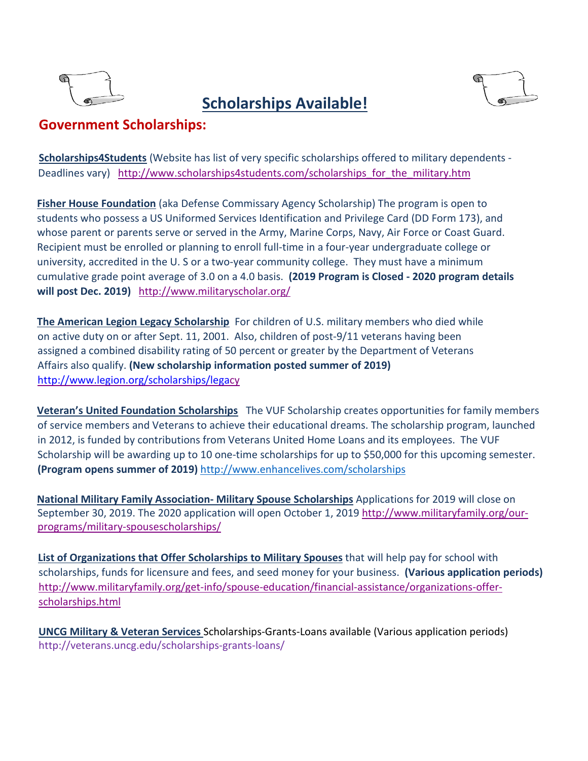

# **Scholarships Available!**



# **Government Scholarships:**

**Scholarships4Students** (Website has list of very specific scholarships offered to military dependents - Deadlines vary)[http://www.scholarships4students.com/scholarships\\_for\\_the\\_military.htm](http://www.scholarships4students.com/scholarships_for_the_military.htm)

**Fisher House Foundation** (aka Defense Commissary Agency Scholarship) The program is open to students who possess a US Uniformed Services Identification and Privilege Card (DD Form 173), and whose parent or parents serve or served in the Army, Marine Corps, Navy, Air Force or Coast Guard. Recipient must be enrolled or planning to enroll full-time in a four-year undergraduate college or university, accredited in the U. S or a two-year community college. They must have a minimum cumulative grade point average of 3.0 on a 4.0 basis. **(2019 Program is Closed - 2020 program details will post Dec. 2019)** <http://www.militaryscholar.org/>

**The American Legion Legacy Scholarship** For children of U.S. military members who died while on active duty on or after Sept. 11, 2001. Also, children of post-9/11 veterans having been assigned a combined disability rating of 50 percent or greater by the Department of Veterans Affairs also qualify. **(New scholarship information posted summer of 2019)**  [http://www.legion.org/scholarships/legac](http://www.legion.org/scholarships/lega)[y](http://www.legion.org/scholarships/legacy)

**Veteran's United Foundation Scholarships** The VUF Scholarship creates opportunities for family members of service members and Veterans to achieve their educational dreams. The scholarship program, launched in 2012, is funded by contributions from Veterans United Home Loans and its employees. The VUF Scholarship will be awarding up to 10 one-time scholarships for up to \$50,000 for this upcoming semester. **(Program opens summer of 2019)** <http://www.enhancelives.com/scholarships>

**National Military Family Association- Military Spouse Scholarships** Applications for 2019 will close on September 30, 2019. The 2020 application will open October 1, 2019 [http://www.militaryfamily.org/our](http://www.militaryfamily.org/our-programs/military-spouse-scholarships/)[programs/military-spousescholarships/](http://www.militaryfamily.org/our-programs/military-spouse-scholarships/)

**List of Organizations that Offer Scholarships to Military Spouses** that will help pay for school with scholarships, funds for licensure and fees, and seed money for your business. **(Various application periods)**  [http://www.militaryfamily.org/get-info/spouse-education/financial-assistance/organizations-offer](http://www.militaryfamily.org/get-info/spouse-education/financial-assistance/organizations-offer-scholarships.html)[scholarships.html](http://www.militaryfamily.org/get-info/spouse-education/financial-assistance/organizations-offer-scholarships.html)

**UNCG Military & Veteran Service[s](https://www.rischolarships.org/)** [Sch](https://www.rischolarships.org/)olarships-Grants-Loans available (Various application periods) http://veterans.uncg.edu/scholarships-grants-loans/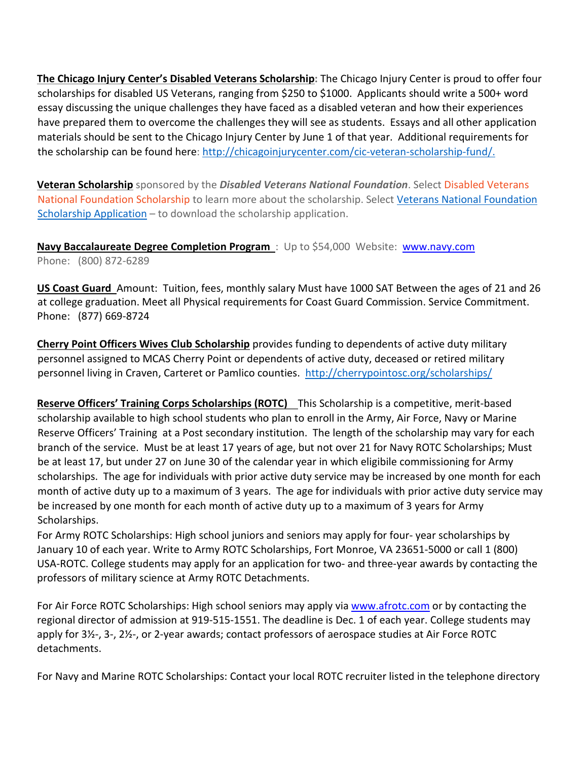**The Chicago Injury Center's Disabled Veterans Scholarship:** The Chicago Injury Center is proud to offer four scholarships for disabled US Veterans, ranging from \$250 to \$1000. Applicants should write a 500+ word essay discussing the unique challenges they have faced as a disabled veteran and how their experiences have prepared them to overcome the challenges they will see as students. Essays and all other application materials should be sent to the Chicago Injury Center by June 1 of that year. Additional requirements for the scholarship can be found here[:](http://chicagoinjurycenter.com/cic-veteran-scholarship-fund/) [http://chicagoinjurycenter.com/cic-veteran-scholarship-fund/.](http://chicagoinjurycenter.com/cic-veteran-scholarship-fund/)

**Veteran Scholarship** sponsored by the *Disabled Veterans National Foundation*. Select [Disabled Veterans](http://www.dvnf.org/veterans_programs.php?category=2&article=50)  [National Foundation Scholarship](http://www.dvnf.org/veterans_programs.php?category=2&article=50) [t](http://www.dvnf.org/veterans_programs.php?category=2&article=50)o learn more about the scholarship. Select Veterans National Foundation Scholarship Application – to download the scholarship application.

**Navy Baccalaureate Degree Completion Program** : Up to \$54,000 Website: [www.navy.com](http://www.navy.com/) Phone: (800) 872-6289

**US Coast Guard** Amount: Tuition, fees, monthly salary Must have 1000 SAT Between the ages of 21 and 26 at college graduation. Meet all Physical requirements for Coast Guard Commission. Service Commitment. Phone: (877) 669-8724

**Cherry Point Officers Wives Club Scholarship** provides funding to dependents of active duty military personnel assigned to MCAS Cherry Point or dependents of active duty, deceased or retired military personnel living in Craven, Carteret or Pamlico counties. <http://cherrypointosc.org/scholarships/>

**Reserve Officers' Training Corps Scholarships (ROTC)** This Scholarship is a competitive, merit-based scholarship available to high school students who plan to enroll in the Army, Air Force, Navy or Marine Reserve Officers' Training at a Post secondary institution. The length of the scholarship may vary for each branch of the service. Must be at least 17 years of age, but not over 21 for Navy ROTC Scholarships; Must be at least 17, but under 27 on June 30 of the calendar year in which eligibile commissioning for Army scholarships. The age for individuals with prior active duty service may be increased by one month for each month of active duty up to a maximum of 3 years. The age for individuals with prior active duty service may be increased by one month for each month of active duty up to a maximum of 3 years for Army Scholarships.

For Army ROTC Scholarships: High school juniors and seniors may apply for four- year scholarships by January 10 of each year. Write to Army ROTC Scholarships, Fort Monroe, VA 23651-5000 or call 1 (800) USA-ROTC. College students may apply for an application for two- and three-year awards by contacting the professors of military science at Army ROTC Detachments.

For Air Force ROTC Scholarships: High school seniors may apply via [www.afrotc.com](http://www.afrotc.com/) or by contacting the regional director of admission at 919-515-1551. The deadline is Dec. 1 of each year. College students may apply for 3½-, 3-, 2½-, or 2-year awards; contact professors of aerospace studies at Air Force ROTC detachments.

For Navy and Marine ROTC Scholarships: Contact your local ROTC recruiter listed in the telephone directory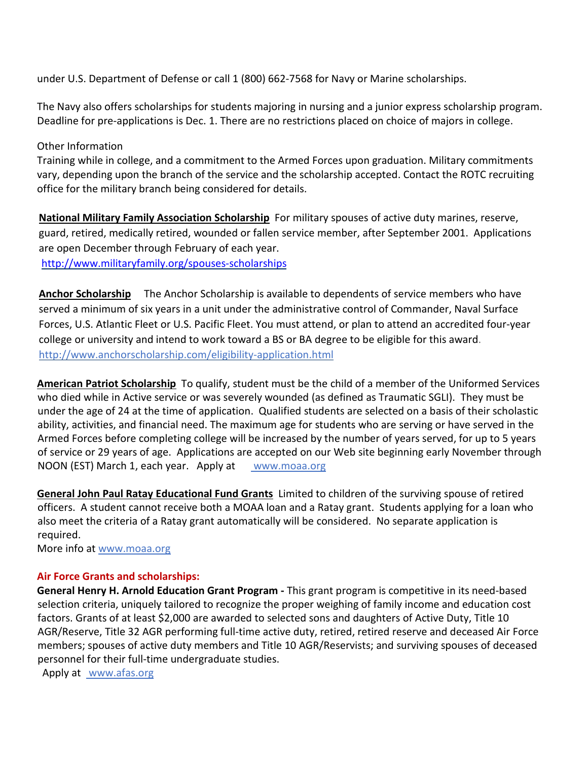under U.S. Department of Defense or call 1 (800) 662-7568 for Navy or Marine scholarships.

The Navy also offers scholarships for students majoring in nursing and a junior express scholarship program. Deadline for pre-applications is Dec. 1. There are no restrictions placed on choice of majors in college.

#### Other Information

Training while in college, and a commitment to the Armed Forces upon graduation. Military commitments vary, depending upon the branch of the service and the scholarship accepted. Contact the ROTC recruiting office for the military branch being considered for details.

**National Military Family Association Scholarship** For military spouses of active duty marines, reserve, guard, retired, medically retired, wounded or fallen service member, after September 2001. Applications are open December through February of each year.

<http://www.militaryfamily.org/spouses-scholarships>

**Anchor Scholarship** The Anchor Scholarship is available to dependents of service members who have served a minimum of six years in a unit under the administrative control of Commander, Naval Surface Forces, U.S. Atlantic Fleet or U.S. Pacific Fleet. You must attend, or plan to attend an accredited four-year college or university and intend to work toward a BS or BA degree to be eligible for this award. <http://www.anchorscholarship.com/eligibility-application.html>

**American Patriot Scholarship** To qualify, student must be the child of a member of the Uniformed Services who died while in Active service or was severely wounded (as defined as Traumatic SGLI). They must be under the age of 24 at the time of application. Qualified students are selected on a basis of their scholastic ability, activities, and financial need. The maximum age for students who are serving or have served in the Armed Forces before completing college will be increased by the number of years served, for up to 5 years of service or 29 years of age. Applications are accepted on our Web site beginning early November through NOON (EST) March 1, each year. Apply at www.moaa.org

**General John Paul Ratay Educational Fund Grants** Limited to children of the surviving spouse of retired officers. A student cannot receive both a MOAA loan and a Ratay grant. Students applying for a loan who also meet the criteria of a Ratay grant automatically will be considered. No separate application is required.

More info at www.moaa.org

#### **Air Force Grants and scholarships:**

**General Henry H. Arnold Education Grant Program -** This grant program is competitive in its need-based selection criteria, uniquely tailored to recognize the proper weighing of family income and education cost factors. Grants of at least \$2,000 are awarded to selected sons and daughters of Active Duty, Title 10 AGR/Reserve, Title 32 AGR performing full-time active duty, retired, retired reserve and deceased Air Force members; spouses of active duty members and Title 10 AGR/Reservists; and surviving spouses of deceased personnel for their full-time undergraduate studies.

Apply at www.afas.org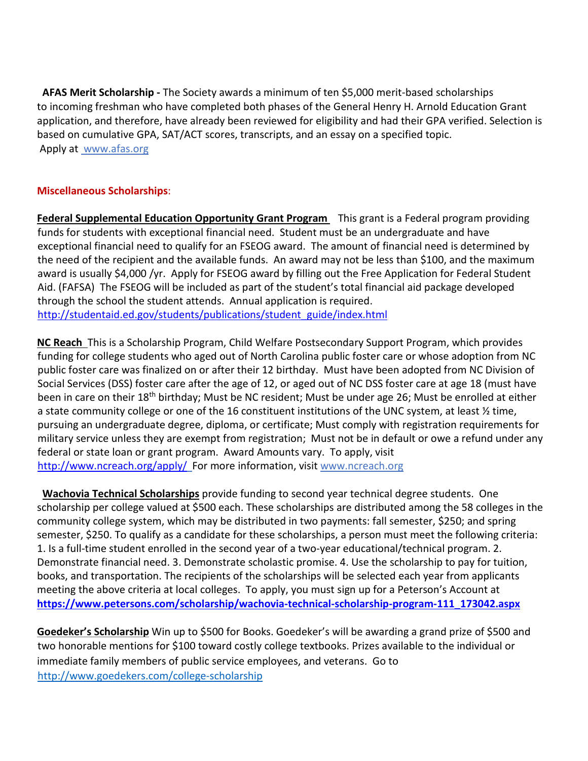**AFAS Merit Scholarship -** The Society awards a minimum of ten \$5,000 merit-based scholarships to incoming freshman who have completed both phases of the General Henry H. Arnold Education Grant application, and therefore, have already been reviewed for eligibility and had their GPA verified. Selection is based on cumulative GPA, SAT/ACT scores, transcripts, and an essay on a specified topic. Apply at www.afas.org

# **Miscellaneous Scholarships**:

**Federal Supplemental Education Opportunity Grant Program** This grant is a Federal program providing funds for students with exceptional financial need. Student must be an undergraduate and have exceptional financial need to qualify for an FSEOG award. The amount of financial need is determined by the need of the recipient and the available funds. An award may not be less than \$100, and the maximum award is usually \$4,000 /yr. Apply for FSEOG award by filling out the Free Application for Federal Student Aid. (FAFSA) The FSEOG will be included as part of the student's total financial aid package developed through the school the student attends. Annual application is required. [http://studentaid.ed.gov/students/publications/student\\_guide/index.html](http://studentaid.ed.gov/students/publications/student_guide/index.html)

**NC Reach** This is a Scholarship Program, Child Welfare Postsecondary Support Program, which provides funding for college students who aged out of North Carolina public foster care or whose adoption from NC public foster care was finalized on or after their 12 birthday. Must have been adopted from NC Division of Social Services (DSS) foster care after the age of 12, or aged out of NC DSS foster care at age 18 (must have been in care on their 18<sup>th</sup> birthday; Must be NC resident; Must be under age 26; Must be enrolled at either a state community college or one of the 16 constituent institutions of the UNC system, at least ½ time, pursuing an undergraduate degree, diploma, or certificate; Must comply with registration requirements for military service unless they are exempt from registration; Must not be in default or owe a refund under any federal or state loan or grant program. Award Amounts vary. To apply, visit <http://www.ncreach.org/apply/>For more information, visit www.ncreach.org

 **Wachovia Technical Scholarships** provide funding to second year technical degree students. One scholarship per college valued at \$500 each. These scholarships are distributed among the 58 colleges in the community college system, which may be distributed in two payments: fall semester, \$250; and spring semester, \$250. To qualify as a candidate for these scholarships, a person must meet the following criteria: 1. Is a full-time student enrolled in the second year of a two-year educational/technical program. 2. Demonstrate financial need. 3. Demonstrate scholastic promise. 4. Use the scholarship to pay for tuition, books, and transportation. The recipients of the scholarships will be selected each year from applicants meeting the above criteria at local colleges. To apply, you must sign up for a Peterson's Account at **[https://www.petersons.com/scholarship/wachovia-technical-scholarship-program-111\\_173042.aspx](https://www.petersons.com/scholarship/wachovia-technical-scholarship-program-111_173042.aspx)**

**Goedeker's Scholarship** Win up to \$500 for Books. Goedeker's will be awarding a grand prize of \$500 and two honorable mentions for \$100 toward costly college textbooks. Prizes available to the individual or immediate family members of public service employees, and veterans. Go to <http://www.goedekers.com/college-scholarship>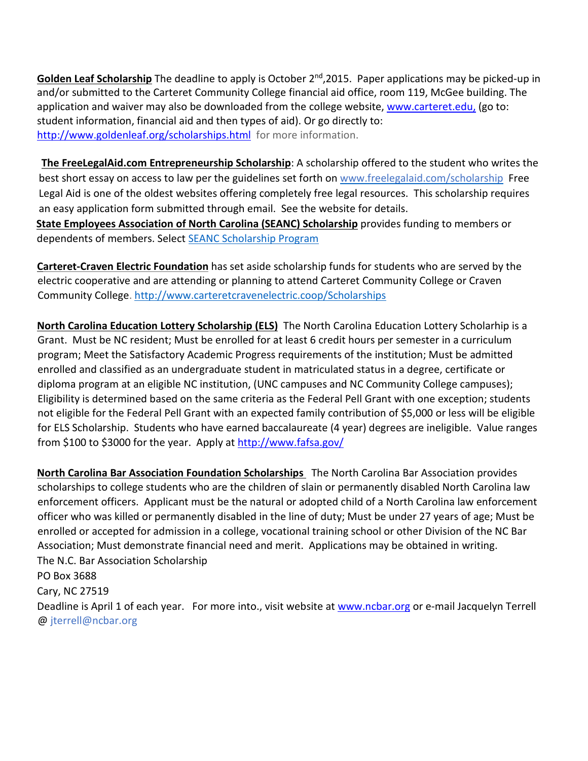Golden Leaf Scholarship The deadline to apply is October 2<sup>nd</sup>, 2015. Paper applications may be picked-up in and/or submitted to the Carteret Community College financial aid office, room 119, McGee building. The application and waiver may also be downloaded from the college website, [www.carteret.edu,](http://www.carteret.edu/) (go to: student information, financial aid and then types of aid). Or go directly to: <http://www.goldenleaf.org/scholarships.html>for more information.

**The FreeLegalAid.com Entrepreneurship Scholarship**: A scholarship offered to the student who writes the best short essay on access to law per the guidelines set forth on www.freelegalaid.com/scholarship Free Legal Aid is one of the oldest websites offering completely free legal resources. This scholarship requires an easy application form submitted through email. See the website for details. **State Employees Association of North Carolina (SEANC) Scholarship** provides funding to members or dependents of members. Select **SEANC Scholarship Program** 

**Carteret-Craven Electric Foundation** has set aside scholarship funds for students who are served by the electric cooperative and are attending or planning to attend Carteret Community College or Craven Community College.<http://www.carteretcravenelectric.coop/Scholarships>

**North Carolina Education Lottery Scholarship (ELS)** The North Carolina Education Lottery Scholarhip is a Grant. Must be NC resident; Must be enrolled for at least 6 credit hours per semester in a curriculum program; Meet the Satisfactory Academic Progress requirements of the institution; Must be admitted enrolled and classified as an undergraduate student in matriculated status in a degree, certificate or diploma program at an eligible NC institution, (UNC campuses and NC Community College campuses); Eligibility is determined based on the same criteria as the Federal Pell Grant with one exception; students not eligible for the Federal Pell Grant with an expected family contribution of \$5,000 or less will be eligible for ELS Scholarship. Students who have earned baccalaureate (4 year) degrees are ineligible. Value ranges from \$100 to \$3000 for the year. Apply at http://www.fafsa.gov/

**North Carolina Bar Association Foundation Scholarships** The North Carolina Bar Association provides scholarships to college students who are the children of slain or permanently disabled North Carolina law enforcement officers. Applicant must be the natural or adopted child of a North Carolina law enforcement officer who was killed or permanently disabled in the line of duty; Must be under 27 years of age; Must be enrolled or accepted for admission in a college, vocational training school or other Division of the NC Bar Association; Must demonstrate financial need and merit. Applications may be obtained in writing. The N.C. Bar Association Scholarship PO Box 3688 Cary, NC 27519 Deadline is April 1 of each year. For more into., visit website at [www.ncbar.org](http://www.ncbar.org/) or e-mail Jacquelyn Terrell @ jterrell@ncbar.org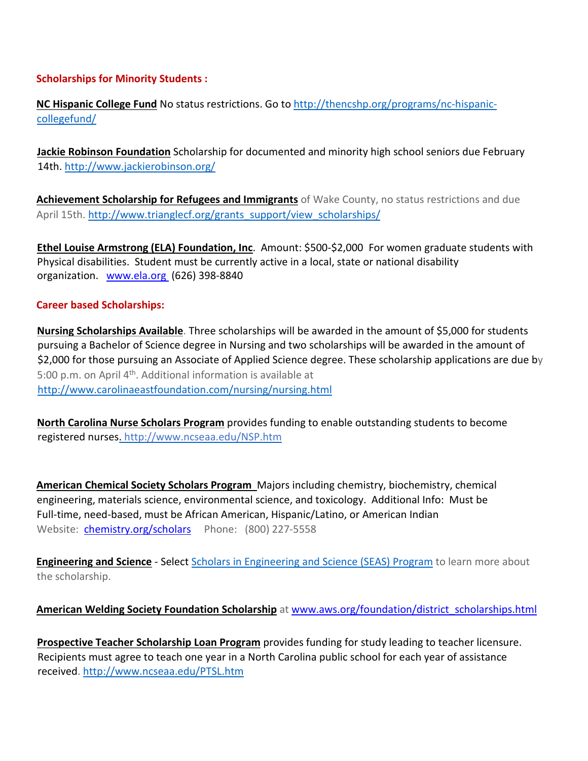### **Scholarships for Minority Students :**

**NC Hispanic College Fund** No status restrictions. Go to [http://thencshp.org/programs/nc-hispanic](http://thencshp.org/programs/nc-hispanic-college-fund/)[collegefund/](http://thencshp.org/programs/nc-hispanic-college-fund/)

**Jackie Robinson Foundation** Scholarship for documented and minority high school seniors due February 14th. <http://www.jackierobinson.org/>

**Achievement Scholarship for Refugees and Immigrants** of Wake County, no status restrictions and due April 15th. [http://www.trianglecf.org/grants\\_support/view\\_scholarships/](http://www.trianglecf.org/grants_support/view_scholarships/)

**Ethel Louise Armstrong (ELA) Foundation, Inc**. Amount: \$500-\$2,000 For women graduate students with Physical disabilities. Student must be currently active in a local, state or national disability organization. [www.ela.org](http://www.ela.org/) (626) 398-8840

#### **Career based Scholarships:**

**Nursing Scholarships Available**. Three scholarships will be awarded in the amount of \$5,000 for students pursuing a Bachelor of Science degree in Nursing and two scholarships will be awarded in the amount of \$2,000 for those pursuing an Associate of Applied Science degree. These scholarship applications are due by 5:00 p.m. on April  $4<sup>th</sup>$ . Additional information is available at <http://www.carolinaeastfoundation.com/nursing/nursing.html>

**North Carolina Nurse Scholars Program** provides funding to enable outstanding students to become registered nurses. http://www.ncseaa.edu/NSP.htm

**American Chemical Society Scholars Program** Majors including chemistry, biochemistry, chemical engineering, materials science, environmental science, and toxicology. Additional Info: Must be Full-time, need-based, must be African American, Hispanic/Latino, or American Indian Website: [chemistry.org/scholars](http://chemistry.org/scholars) Phone: (800) 227-5558

**Engineering and Science** - Select Scholars in Engineering and Science (SEAS) Program to learn more about the scholarship.

## **American Welding Society Foundation Scholarship** at [www.aws.org/foundation/district\\_scholarships.html](http://www.aws.org/foundation/district_scholarships.html)

**Prospective Teacher Scholarship Loan Program** provides funding for study leading to teacher licensure. Recipients must agree to teach one year in a North Carolina public school for each year of assistance received.<http://www.ncseaa.edu/PTSL.htm>